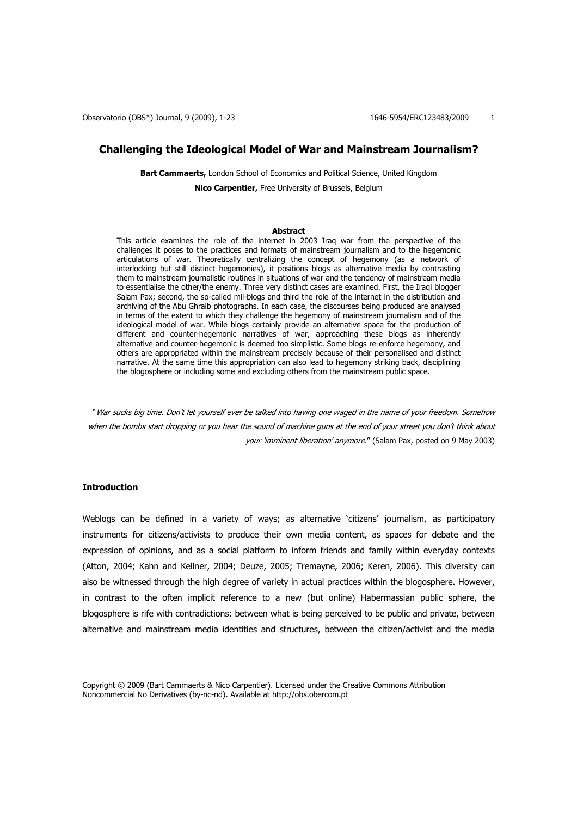Observatorio (OBS\*) Journal, 9 (2009), 1-23 1646-5954/ERC123483/2009 1

## **Challenging the Ideological Model of War and Mainstream Journalism?**

**Bart Cammaerts,** London School of Economics and Political Science, United Kingdom **Nico Carpentier,** Free University of Brussels, Belgium

#### **Abstract**

This article examines the role of the internet in 2003 Iraq war from the perspective of the challenges it poses to the practices and formats of mainstream journalism and to the hegemonic articulations of war. Theoretically centralizing the concept of hegemony (as a network of interlocking but still distinct hegemonies), it positions blogs as alternative media by contrasting them to mainstream journalistic routines in situations of war and the tendency of mainstream media to essentialise the other/the enemy. Three very distinct cases are examined. First, the Iraqi blogger Salam Pax; second, the so-called mil-blogs and third the role of the internet in the distribution and archiving of the Abu Ghraib photographs. In each case, the discourses being produced are analysed in terms of the extent to which they challenge the hegemony of mainstream journalism and of the ideological model of war. While blogs certainly provide an alternative space for the production of different and counter-hegemonic narratives of war, approaching these blogs as inherently alternative and counter-hegemonic is deemed too simplistic. Some blogs re-enforce hegemony, and others are appropriated within the mainstream precisely because of their personalised and distinct narrative. At the same time this appropriation can also lead to hegemony striking back, disciplining the blogosphere or including some and excluding others from the mainstream public space.

"War sucks big time. Don't let yourself ever be talked into having one waged in the name of your freedom. Somehow when the bombs start dropping or you hear the sound of machine guns at the end of your street you don't think about your 'imminent liberation' anymore." (Salam Pax, posted on 9 May 2003)

### **Introduction**

Weblogs can be defined in a variety of ways; as alternative 'citizens' journalism, as participatory instruments for citizens/activists to produce their own media content, as spaces for debate and the expression of opinions, and as a social platform to inform friends and family within everyday contexts (Atton, 2004; Kahn and Kellner, 2004; Deuze, 2005; Tremayne, 2006; Keren, 2006). This diversity can also be witnessed through the high degree of variety in actual practices within the blogosphere. However, in contrast to the often implicit reference to a new (but online) Habermassian public sphere, the blogosphere is rife with contradictions: between what is being perceived to be public and private, between alternative and mainstream media identities and structures, between the citizen/activist and the media

Copyright © 2009 (Bart Cammaerts & Nico Carpentier). Licensed under the Creative Commons Attribution Noncommercial No Derivatives (by-nc-nd). Available at http://obs.obercom.pt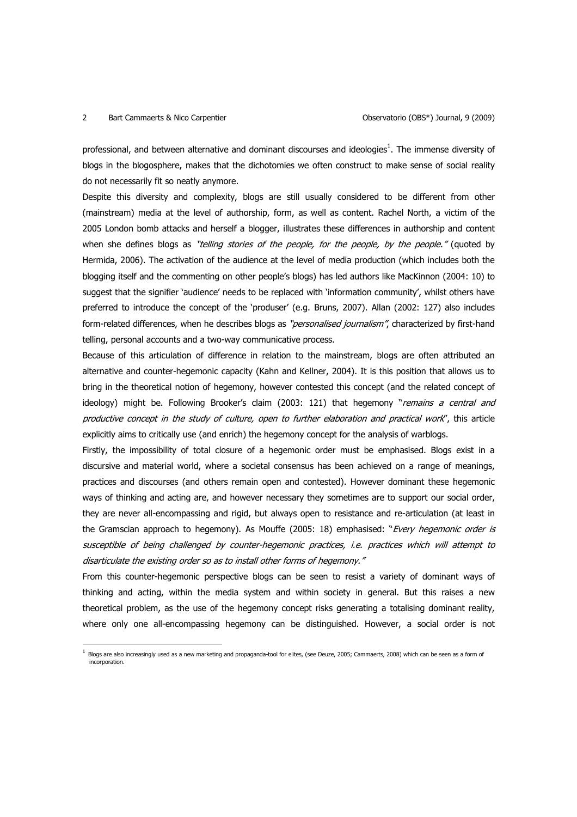## 2 Bart Cammaerts & Nico Carpentier **Cammatic Exception Conservatorio (OBS\*)** Journal, 9 (2009)

 $\overline{a}$ 

professional, and between alternative and dominant discourses and ideologies<sup>1</sup>. The immense diversity of blogs in the blogosphere, makes that the dichotomies we often construct to make sense of social reality do not necessarily fit so neatly anymore.

Despite this diversity and complexity, blogs are still usually considered to be different from other (mainstream) media at the level of authorship, form, as well as content. Rachel North, a victim of the 2005 London bomb attacks and herself a blogger, illustrates these differences in authorship and content when she defines blogs as "telling stories of the people, for the people, by the people." (quoted by Hermida, 2006). The activation of the audience at the level of media production (which includes both the blogging itself and the commenting on other people's blogs) has led authors like MacKinnon (2004: 10) to suggest that the signifier 'audience' needs to be replaced with 'information community', whilst others have preferred to introduce the concept of the 'produser' (e.g. Bruns, 2007). Allan (2002: 127) also includes form-related differences, when he describes blogs as "*personalised journalism"*, characterized by first-hand telling, personal accounts and a two-way communicative process.

Because of this articulation of difference in relation to the mainstream, blogs are often attributed an alternative and counter-hegemonic capacity (Kahn and Kellner, 2004). It is this position that allows us to bring in the theoretical notion of hegemony, however contested this concept (and the related concept of ideology) might be. Following Brooker's claim (2003: 121) that hegemony "remains a central and productive concept in the study of culture, open to further elaboration and practical work", this article explicitly aims to critically use (and enrich) the hegemony concept for the analysis of warblogs.

Firstly, the impossibility of total closure of a hegemonic order must be emphasised. Blogs exist in a discursive and material world, where a societal consensus has been achieved on a range of meanings, practices and discourses (and others remain open and contested). However dominant these hegemonic ways of thinking and acting are, and however necessary they sometimes are to support our social order, they are never all-encompassing and rigid, but always open to resistance and re-articulation (at least in the Gramscian approach to hegemony). As Mouffe (2005: 18) emphasised: "Every hegemonic order is susceptible of being challenged by counter-hegemonic practices, i.e. practices which will attempt to disarticulate the existing order so as to install other forms of hegemony."

From this counter-hegemonic perspective blogs can be seen to resist a variety of dominant ways of thinking and acting, within the media system and within society in general. But this raises a new theoretical problem, as the use of the hegemony concept risks generating a totalising dominant reality, where only one all-encompassing hegemony can be distinguished. However, a social order is not

<sup>1</sup> Blogs are also increasingly used as a new marketing and propaganda-tool for elites, (see Deuze, 2005; Cammaerts, 2008) which can be seen as a form of incorporation.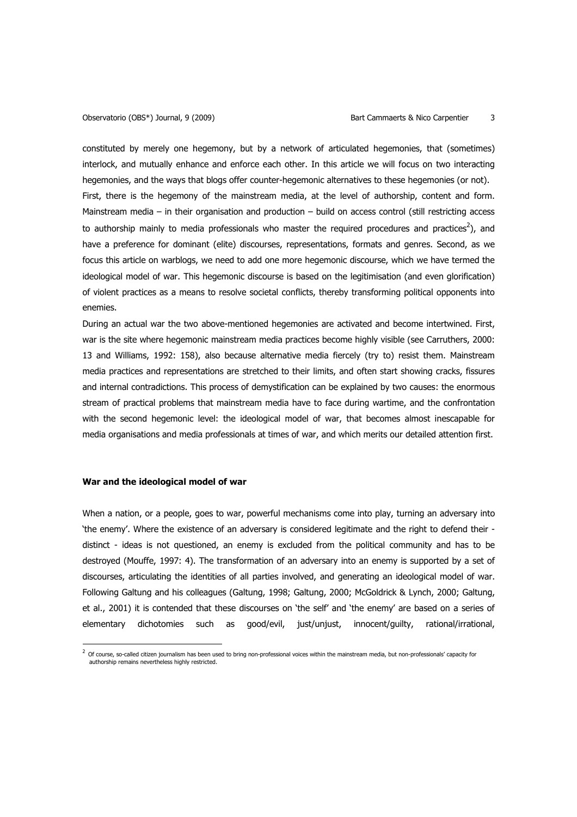constituted by merely one hegemony, but by a network of articulated hegemonies, that (sometimes) interlock, and mutually enhance and enforce each other. In this article we will focus on two interacting hegemonies, and the ways that blogs offer counter-hegemonic alternatives to these hegemonies (or not). First, there is the hegemony of the mainstream media, at the level of authorship, content and form. Mainstream media – in their organisation and production – build on access control (still restricting access to authorship mainly to media professionals who master the required procedures and practices<sup>2</sup>), and have a preference for dominant (elite) discourses, representations, formats and genres. Second, as we focus this article on warblogs, we need to add one more hegemonic discourse, which we have termed the ideological model of war. This hegemonic discourse is based on the legitimisation (and even glorification) of violent practices as a means to resolve societal conflicts, thereby transforming political opponents into enemies.

During an actual war the two above-mentioned hegemonies are activated and become intertwined. First, war is the site where hegemonic mainstream media practices become highly visible (see Carruthers, 2000: 13 and Williams, 1992: 158), also because alternative media fiercely (try to) resist them. Mainstream media practices and representations are stretched to their limits, and often start showing cracks, fissures and internal contradictions. This process of demystification can be explained by two causes: the enormous stream of practical problems that mainstream media have to face during wartime, and the confrontation with the second hegemonic level: the ideological model of war, that becomes almost inescapable for media organisations and media professionals at times of war, and which merits our detailed attention first.

## **War and the ideological model of war**

 $\overline{a}$ 

When a nation, or a people, goes to war, powerful mechanisms come into play, turning an adversary into 'the enemy'. Where the existence of an adversary is considered legitimate and the right to defend their distinct - ideas is not questioned, an enemy is excluded from the political community and has to be destroyed (Mouffe, 1997: 4). The transformation of an adversary into an enemy is supported by a set of discourses, articulating the identities of all parties involved, and generating an ideological model of war. Following Galtung and his colleagues (Galtung, 1998; Galtung, 2000; McGoldrick & Lynch, 2000; Galtung, et al., 2001) it is contended that these discourses on 'the self' and 'the enemy' are based on a series of elementary dichotomies such as good/evil, just/unjust, innocent/guilty, rational/irrational,

 $^2$  Of course, so-called citizen journalism has been used to bring non-professional voices within the mainstream media, but non-professionals' capacity for authorship remains nevertheless highly restricted.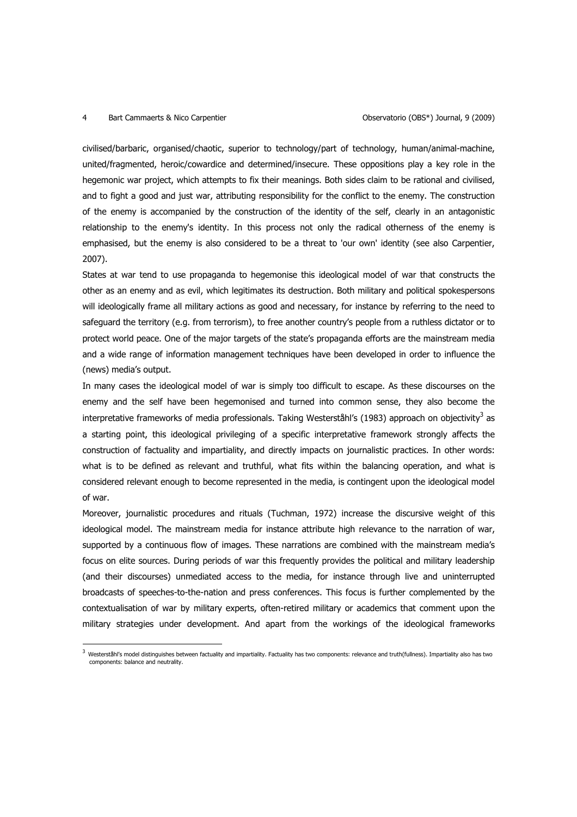### 4 Bart Cammaerts & Nico Carpentier Observatorio (OBS\*) Journal, 9 (2009)

 $\overline{a}$ 

civilised/barbaric, organised/chaotic, superior to technology/part of technology, human/animal-machine, united/fragmented, heroic/cowardice and determined/insecure. These oppositions play a key role in the hegemonic war project, which attempts to fix their meanings. Both sides claim to be rational and civilised, and to fight a good and just war, attributing responsibility for the conflict to the enemy. The construction of the enemy is accompanied by the construction of the identity of the self, clearly in an antagonistic relationship to the enemy's identity. In this process not only the radical otherness of the enemy is emphasised, but the enemy is also considered to be a threat to 'our own' identity (see also Carpentier, 2007).

States at war tend to use propaganda to hegemonise this ideological model of war that constructs the other as an enemy and as evil, which legitimates its destruction. Both military and political spokespersons will ideologically frame all military actions as good and necessary, for instance by referring to the need to safeguard the territory (e.g. from terrorism), to free another country's people from a ruthless dictator or to protect world peace. One of the major targets of the state's propaganda efforts are the mainstream media and a wide range of information management techniques have been developed in order to influence the (news) media's output.

In many cases the ideological model of war is simply too difficult to escape. As these discourses on the enemy and the self have been hegemonised and turned into common sense, they also become the interpretative frameworks of media professionals. Taking Westerståhl's (1983) approach on objectivity<sup>3</sup> as a starting point, this ideological privileging of a specific interpretative framework strongly affects the construction of factuality and impartiality, and directly impacts on journalistic practices. In other words: what is to be defined as relevant and truthful, what fits within the balancing operation, and what is considered relevant enough to become represented in the media, is contingent upon the ideological model of war.

Moreover, journalistic procedures and rituals (Tuchman, 1972) increase the discursive weight of this ideological model. The mainstream media for instance attribute high relevance to the narration of war, supported by a continuous flow of images. These narrations are combined with the mainstream media's focus on elite sources. During periods of war this frequently provides the political and military leadership (and their discourses) unmediated access to the media, for instance through live and uninterrupted broadcasts of speeches-to-the-nation and press conferences. This focus is further complemented by the contextualisation of war by military experts, often-retired military or academics that comment upon the military strategies under development. And apart from the workings of the ideological frameworks

 $^3$  Westerståhl's model distinguishes between factuality and impartiality. Factuality has two components: relevance and truth(fullness). Impartiality also has two components: balance and neutrality.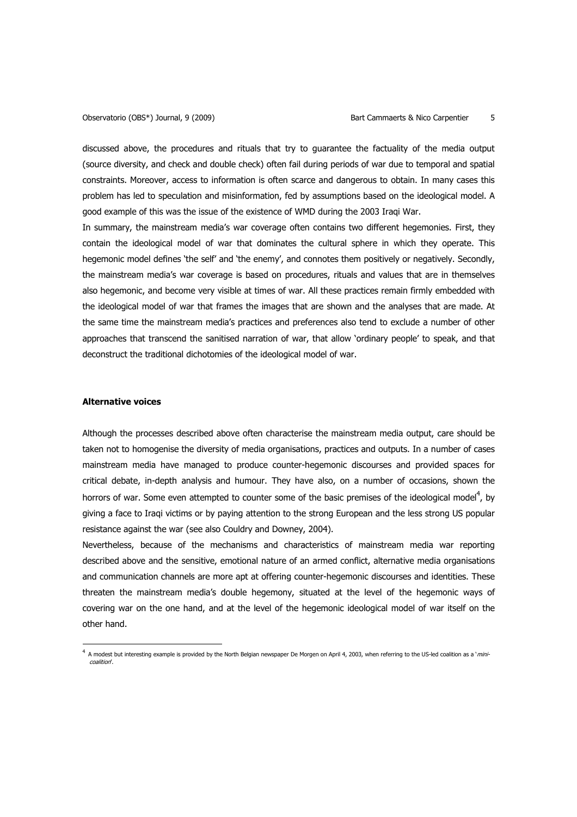discussed above, the procedures and rituals that try to guarantee the factuality of the media output (source diversity, and check and double check) often fail during periods of war due to temporal and spatial constraints. Moreover, access to information is often scarce and dangerous to obtain. In many cases this problem has led to speculation and misinformation, fed by assumptions based on the ideological model. A good example of this was the issue of the existence of WMD during the 2003 Iraqi War.

In summary, the mainstream media's war coverage often contains two different hegemonies. First, they contain the ideological model of war that dominates the cultural sphere in which they operate. This hegemonic model defines 'the self' and 'the enemy', and connotes them positively or negatively. Secondly, the mainstream media's war coverage is based on procedures, rituals and values that are in themselves also hegemonic, and become very visible at times of war. All these practices remain firmly embedded with the ideological model of war that frames the images that are shown and the analyses that are made. At the same time the mainstream media's practices and preferences also tend to exclude a number of other approaches that transcend the sanitised narration of war, that allow 'ordinary people' to speak, and that deconstruct the traditional dichotomies of the ideological model of war.

## **Alternative voices**

 $\overline{a}$ 

Although the processes described above often characterise the mainstream media output, care should be taken not to homogenise the diversity of media organisations, practices and outputs. In a number of cases mainstream media have managed to produce counter-hegemonic discourses and provided spaces for critical debate, in-depth analysis and humour. They have also, on a number of occasions, shown the horrors of war. Some even attempted to counter some of the basic premises of the ideological model<sup>4</sup>, by giving a face to Iraqi victims or by paying attention to the strong European and the less strong US popular resistance against the war (see also Couldry and Downey, 2004).

Nevertheless, because of the mechanisms and characteristics of mainstream media war reporting described above and the sensitive, emotional nature of an armed conflict, alternative media organisations and communication channels are more apt at offering counter-hegemonic discourses and identities. These threaten the mainstream media's double hegemony, situated at the level of the hegemonic ways of covering war on the one hand, and at the level of the hegemonic ideological model of war itself on the other hand.

<sup>4</sup> A modest but interesting example is provided by the North Belgian newspaper De Morgen on April 4, 2003, when referring to the US-led coalition as a '*mini*coalition'.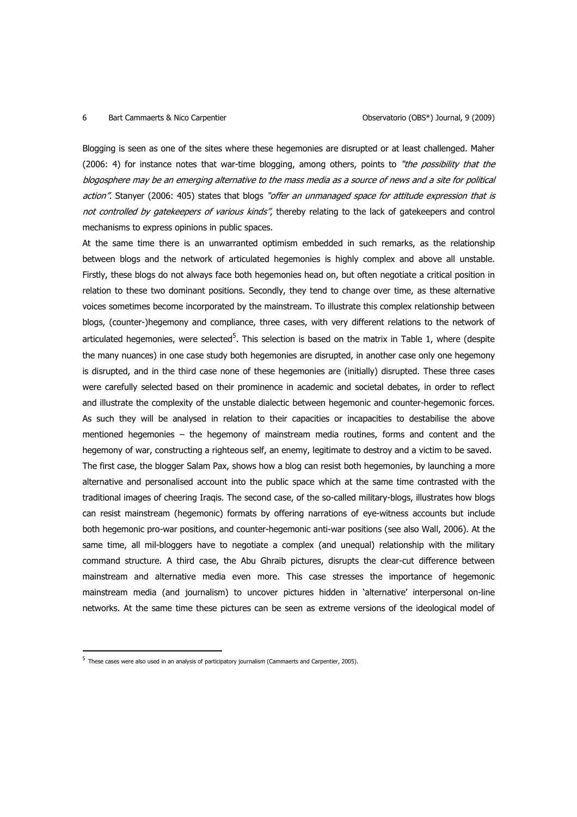## 6 Bart Cammaerts & Nico Carpentier **Cammater Canada Englisher Capacity** Observatorio (OBS\*) Journal, 9 (2009)

Blogging is seen as one of the sites where these hegemonies are disrupted or at least challenged. Maher (2006: 4) for instance notes that war-time blogging, among others, points to "the possibility that the blogosphere may be an emerging alternative to the mass media as a source of news and a site for political action". Stanyer (2006: 405) states that blogs "offer an unmanaged space for attitude expression that is not controlled by gatekeepers of various kinds", thereby relating to the lack of gatekeepers and control mechanisms to express opinions in public spaces.

At the same time there is an unwarranted optimism embedded in such remarks, as the relationship between blogs and the network of articulated hegemonies is highly complex and above all unstable. Firstly, these blogs do not always face both hegemonies head on, but often negotiate a critical position in relation to these two dominant positions. Secondly, they tend to change over time, as these alternative voices sometimes become incorporated by the mainstream. To illustrate this complex relationship between blogs, (counter-)hegemony and compliance, three cases, with very different relations to the network of articulated hegemonies, were selected<sup>5</sup>. This selection is based on the matrix in Table 1, where (despite the many nuances) in one case study both hegemonies are disrupted, in another case only one hegemony is disrupted, and in the third case none of these hegemonies are (initially) disrupted. These three cases were carefully selected based on their prominence in academic and societal debates, in order to reflect and illustrate the complexity of the unstable dialectic between hegemonic and counter-hegemonic forces. As such they will be analysed in relation to their capacities or incapacities to destabilise the above mentioned hegemonies – the hegemony of mainstream media routines, forms and content and the hegemony of war, constructing a righteous self, an enemy, legitimate to destroy and a victim to be saved. The first case, the blogger Salam Pax, shows how a blog can resist both hegemonies, by launching a more alternative and personalised account into the public space which at the same time contrasted with the traditional images of cheering Iraqis. The second case, of the so-called military-blogs, illustrates how blogs can resist mainstream (hegemonic) formats by offering narrations of eye-witness accounts but include both hegemonic pro-war positions, and counter-hegemonic anti-war positions (see also Wall, 2006). At the same time, all mil-bloggers have to negotiate a complex (and unequal) relationship with the military command structure. A third case, the Abu Ghraib pictures, disrupts the clear-cut difference between mainstream and alternative media even more. This case stresses the importance of hegemonic mainstream media (and journalism) to uncover pictures hidden in 'alternative' interpersonal on-line networks. At the same time these pictures can be seen as extreme versions of the ideological model of

<sup>&</sup>lt;sup>5</sup> These cases were also used in an analysis of participatory journalism (Cammaerts and Carpentier, 2005).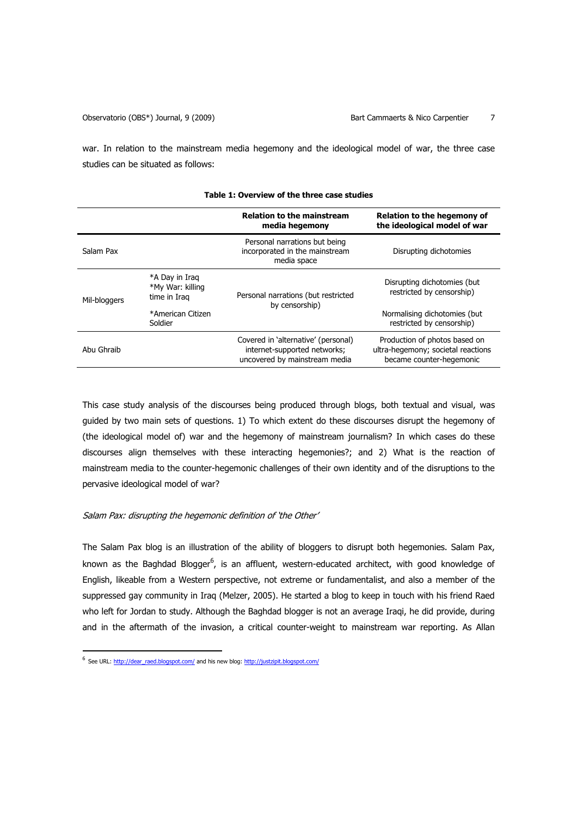war. In relation to the mainstream media hegemony and the ideological model of war, the three case studies can be situated as follows:

|              |                                                    | <b>Relation to the mainstream</b><br>media hegemony                                                  | Relation to the hegemony of<br>the ideological model of war                                     |
|--------------|----------------------------------------------------|------------------------------------------------------------------------------------------------------|-------------------------------------------------------------------------------------------------|
| Salam Pax    |                                                    | Personal narrations but being<br>incorporated in the mainstream<br>media space                       | Disrupting dichotomies                                                                          |
| Mil-bloggers | *A Day in Irag<br>*My War: killing<br>time in Iraq | Personal narrations (but restricted<br>by censorship)                                                | Disrupting dichotomies (but<br>restricted by censorship)                                        |
|              | *American Citizen<br>Soldier                       |                                                                                                      | Normalising dichotomies (but)<br>restricted by censorship)                                      |
| Abu Ghraib   |                                                    | Covered in 'alternative' (personal)<br>internet-supported networks;<br>uncovered by mainstream media | Production of photos based on<br>ultra-hegemony; societal reactions<br>became counter-hegemonic |

#### **Table 1: Overview of the three case studies**

This case study analysis of the discourses being produced through blogs, both textual and visual, was guided by two main sets of questions. 1) To which extent do these discourses disrupt the hegemony of (the ideological model of) war and the hegemony of mainstream journalism? In which cases do these discourses align themselves with these interacting hegemonies?; and 2) What is the reaction of mainstream media to the counter-hegemonic challenges of their own identity and of the disruptions to the pervasive ideological model of war?

## Salam Pax: disrupting the hegemonic definition of 'the Other'

The Salam Pax blog is an illustration of the ability of bloggers to disrupt both hegemonies. Salam Pax, known as the Baghdad Blogger<sup>6</sup>, is an affluent, western-educated architect, with good knowledge of English, likeable from a Western perspective, not extreme or fundamentalist, and also a member of the suppressed gay community in Iraq (Melzer, 2005). He started a blog to keep in touch with his friend Raed who left for Jordan to study. Although the Baghdad blogger is not an average Iraqi, he did provide, during and in the aftermath of the invasion, a critical counter-weight to mainstream war reporting. As Allan

<sup>&</sup>lt;sup>6</sup> See URL: http://dear\_raed.blogspot.com/ and his new blog: http://justzipit.blogspot.com/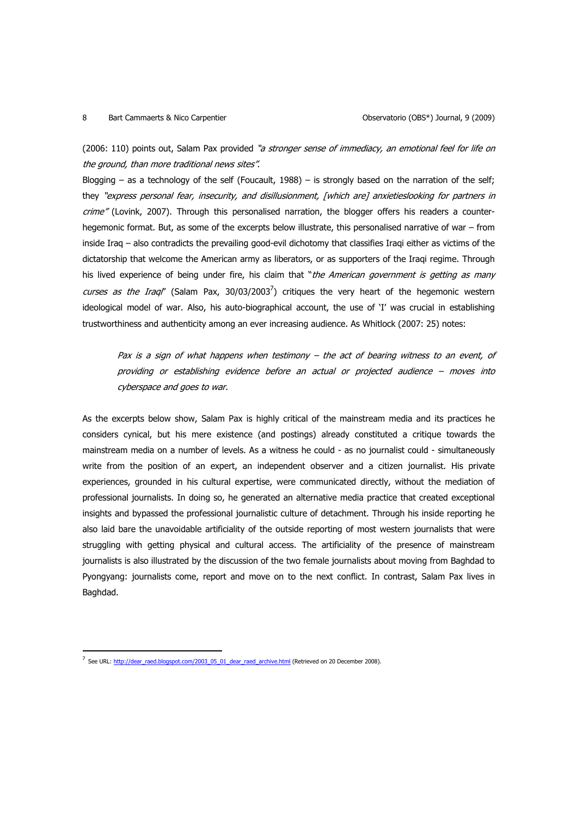## 8 Bart Cammaerts & Nico Carpentier **Cammatic Exception Conservatorio (OBS\*)** Journal, 9 (2009)

(2006: 110) points out, Salam Pax provided "a stronger sense of immediacy, an emotional feel for life on the ground, than more traditional news sites".

Blogging – as a technology of the self (Foucault, 1988) – is strongly based on the narration of the self; they "express personal fear, insecurity, and disillusionment, [which are] anxietieslooking for partners in crime" (Lovink, 2007). Through this personalised narration, the blogger offers his readers a counterhegemonic format. But, as some of the excerpts below illustrate, this personalised narrative of war – from inside Iraq – also contradicts the prevailing good-evil dichotomy that classifies Iraqi either as victims of the dictatorship that welcome the American army as liberators, or as supporters of the Iraqi regime. Through his lived experience of being under fire, his claim that "*the American government is getting as many* curses as the Iraql" (Salam Pax, 30/03/2003<sup>7</sup>) critiques the very heart of the hegemonic western ideological model of war. Also, his auto-biographical account, the use of 'I' was crucial in establishing trustworthiness and authenticity among an ever increasing audience. As Whitlock (2007: 25) notes:

Pax is a sign of what happens when testimony – the act of bearing witness to an event, of providing or establishing evidence before an actual or projected audience – moves into cyberspace and goes to war.

As the excerpts below show, Salam Pax is highly critical of the mainstream media and its practices he considers cynical, but his mere existence (and postings) already constituted a critique towards the mainstream media on a number of levels. As a witness he could - as no journalist could - simultaneously write from the position of an expert, an independent observer and a citizen journalist. His private experiences, grounded in his cultural expertise, were communicated directly, without the mediation of professional journalists. In doing so, he generated an alternative media practice that created exceptional insights and bypassed the professional journalistic culture of detachment. Through his inside reporting he also laid bare the unavoidable artificiality of the outside reporting of most western journalists that were struggling with getting physical and cultural access. The artificiality of the presence of mainstream journalists is also illustrated by the discussion of the two female journalists about moving from Baghdad to Pyongyang: journalists come, report and move on to the next conflict. In contrast, Salam Pax lives in Baghdad.

<sup>&</sup>lt;sup>7</sup> See URL: http://dear\_raed.blogspot.com/2003\_05\_01\_dear\_raed\_archive.html (Retrieved on 20 December 2008).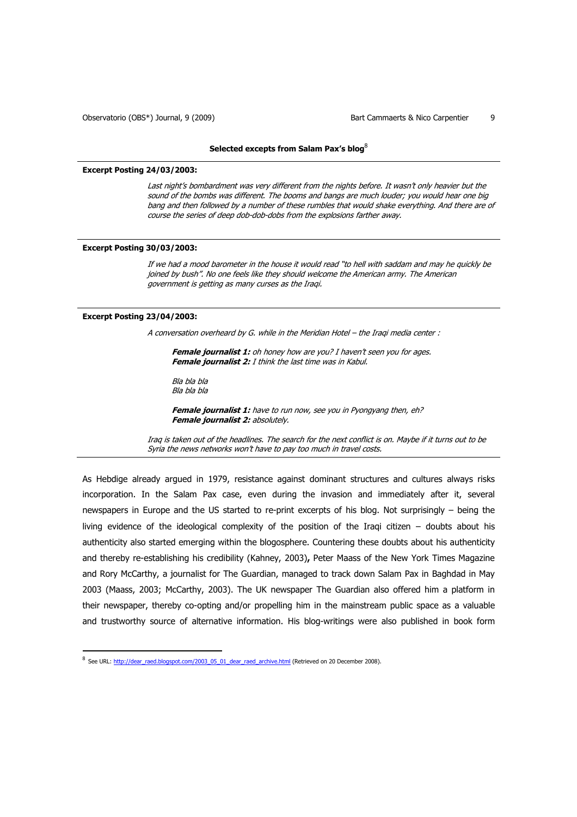#### **Selected excepts from Salam Pax's blog**<sup>8</sup>

### **Excerpt Posting 24/03/2003:**

Last night's bombardment was very different from the nights before. It wasn't only heavier but the sound of the bombs was different. The booms and bangs are much louder; you would hear one big bang and then followed by a number of these rumbles that would shake everything. And there are of course the series of deep dob-dob-dobs from the explosions farther away.

### **Excerpt Posting 30/03/2003:**

If we had a mood barometer in the house it would read "to hell with saddam and may he quickly be joined by bush". No one feels like they should welcome the American army. The American government is getting as many curses as the Iraqi.

#### **Excerpt Posting 23/04/2003:**

 $\overline{a}$ 

A conversation overheard by G. while in the Meridian Hotel – the Iraqi media center :

Female journalist 1: oh honey how are you? I haven't seen you for ages. **Female journalist 2:** I think the last time was in Kabul.

Bla bla bla Bla bla bla

**Female journalist 1:** have to run now, see you in Pyongyang then, eh? **Female journalist 2: absolutely.** 

Iraq is taken out of the headlines. The search for the next conflict is on. Maybe if it turns out to be Syria the news networks won't have to pay too much in travel costs.

As Hebdige already argued in 1979, resistance against dominant structures and cultures always risks incorporation. In the Salam Pax case, even during the invasion and immediately after it, several newspapers in Europe and the US started to re-print excerpts of his blog. Not surprisingly – being the living evidence of the ideological complexity of the position of the Iraqi citizen – doubts about his authenticity also started emerging within the blogosphere. Countering these doubts about his authenticity and thereby re-establishing his credibility (Kahney, 2003)**,** Peter Maass of the New York Times Magazine and Rory McCarthy, a journalist for The Guardian, managed to track down Salam Pax in Baghdad in May 2003 (Maass, 2003; McCarthy, 2003). The UK newspaper The Guardian also offered him a platform in their newspaper, thereby co-opting and/or propelling him in the mainstream public space as a valuable and trustworthy source of alternative information. His blog-writings were also published in book form

<sup>&</sup>lt;sup>8</sup> See URL: http://dear\_raed.blogspot.com/2003\_05\_01\_dear\_raed\_archive.html (Retrieved on 20 December 2008).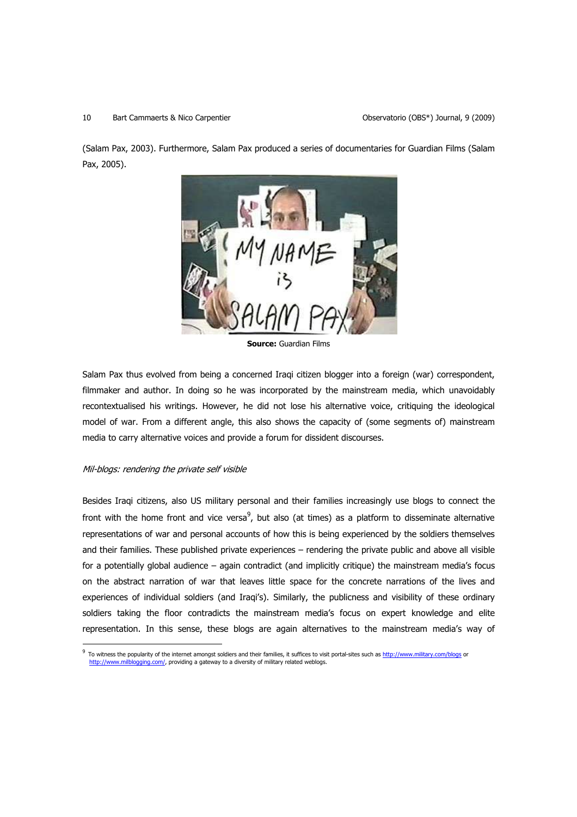### 10 Bart Cammaerts & Nico Carpentier **Disk Camman Carpentier Carpentier Carpentier** Observatorio (OBS\*) Journal, 9 (2009)

(Salam Pax, 2003). Furthermore, Salam Pax produced a series of documentaries for Guardian Films (Salam Pax, 2005).



**Source:** Guardian Films

Salam Pax thus evolved from being a concerned Iraqi citizen blogger into a foreign (war) correspondent, filmmaker and author. In doing so he was incorporated by the mainstream media, which unavoidably recontextualised his writings. However, he did not lose his alternative voice, critiquing the ideological model of war. From a different angle, this also shows the capacity of (some segments of) mainstream media to carry alternative voices and provide a forum for dissident discourses.

## Mil-blogs: rendering the private self visible

 $\overline{a}$ 

Besides Iraqi citizens, also US military personal and their families increasingly use blogs to connect the front with the home front and vice versa $^9$ , but also (at times) as a platform to disseminate alternative representations of war and personal accounts of how this is being experienced by the soldiers themselves and their families. These published private experiences – rendering the private public and above all visible for a potentially global audience – again contradict (and implicitly critique) the mainstream media's focus on the abstract narration of war that leaves little space for the concrete narrations of the lives and experiences of individual soldiers (and Iraqi's). Similarly, the publicness and visibility of these ordinary soldiers taking the floor contradicts the mainstream media's focus on expert knowledge and elite representation. In this sense, these blogs are again alternatives to the mainstream media's way of

<sup>9</sup> To witness the popularity of the internet amongst soldiers and their families, it suffices to visit portal-sites such as http://www.military.com/blogs or http://www.milblogging.com/, providing a gateway to a diversity of military related weblogs.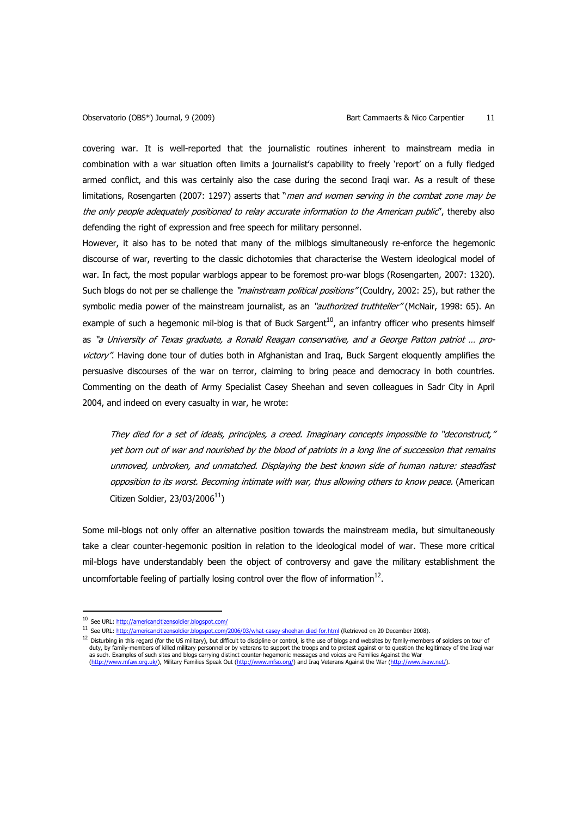covering war. It is well-reported that the journalistic routines inherent to mainstream media in combination with a war situation often limits a journalist's capability to freely 'report' on a fully fledged armed conflict, and this was certainly also the case during the second Iraqi war. As a result of these limitations, Rosengarten (2007: 1297) asserts that "men and women serving in the combat zone may be the only people adequately positioned to relay accurate information to the American public", thereby also defending the right of expression and free speech for military personnel.

However, it also has to be noted that many of the milblogs simultaneously re-enforce the hegemonic discourse of war, reverting to the classic dichotomies that characterise the Western ideological model of war. In fact, the most popular warblogs appear to be foremost pro-war blogs (Rosengarten, 2007: 1320). Such blogs do not per se challenge the "mainstream political positions" (Couldry, 2002: 25), but rather the symbolic media power of the mainstream journalist, as an "*authorized truthteller*" (McNair, 1998: 65). An example of such a hegemonic mil-blog is that of Buck Sargent<sup>10</sup>, an infantry officer who presents himself as "a University of Texas graduate, a Ronald Reagan conservative, and a George Patton patriot … provictory". Having done tour of duties both in Afghanistan and Iraq, Buck Sargent eloquently amplifies the persuasive discourses of the war on terror, claiming to bring peace and democracy in both countries. Commenting on the death of Army Specialist Casey Sheehan and seven colleagues in Sadr City in April 2004, and indeed on every casualty in war, he wrote:

They died for a set of ideals, principles, a creed. Imaginary concepts impossible to "deconstruct," yet born out of war and nourished by the blood of patriots in a long line of succession that remains unmoved, unbroken, and unmatched. Displaying the best known side of human nature: steadfast opposition to its worst. Becoming intimate with war, thus allowing others to know peace. (American Citizen Soldier, 23/03/2006 $^{11}$ )

Some mil-blogs not only offer an alternative position towards the mainstream media, but simultaneously take a clear counter-hegemonic position in relation to the ideological model of war. These more critical mil-blogs have understandably been the object of controversy and gave the military establishment the uncomfortable feeling of partially losing control over the flow of information $^{12}$ .

l

<sup>10</sup> See URL: http://americancitizensoldier.blogspot.com/

<sup>11</sup> See URL: http://americancitizensoldier.blogspot.com/2006/03/what-casey-sheehan-died-for.html (Retrieved on 20 December 2008).

<sup>12</sup> Disturbing in this regard (for the US military), but difficult to discipline or control, is the use of blogs and websites by family-members of soldiers on tour of duty, by family-members of killed military personnel or by veterans to support the troops and to protest against or to question the legitimacy of the Iraqi war as such. Examples of such sites and blogs carrying distinct counter-hegemonic messages and voices are Families Against the War<br><u>(http://www.mfaw.org.uk/</u>), Military Families Speak Out (<u>http://www.mfso.org/</u>) and Iraq Vete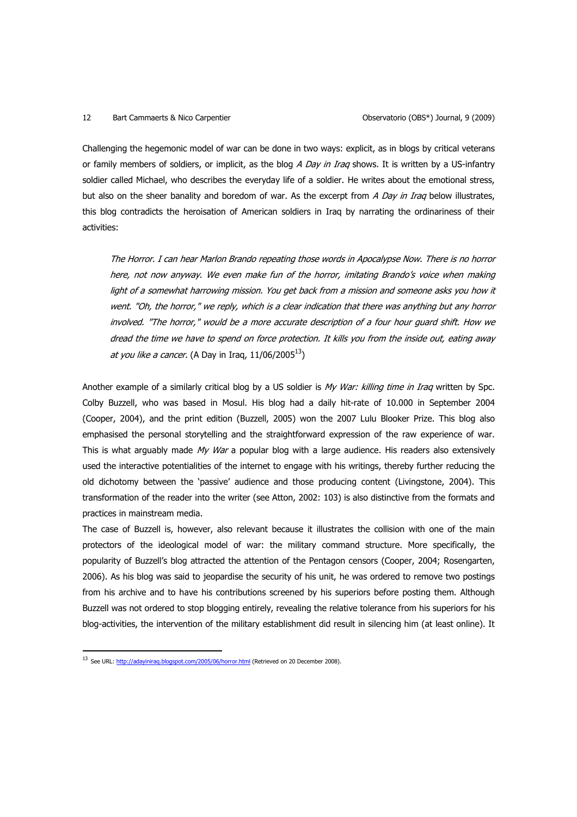# 12 Bart Cammaerts & Nico Carpentier **Cannonic Conservatorio (OBS)** Journal, 9 (2009)

Challenging the hegemonic model of war can be done in two ways: explicit, as in blogs by critical veterans or family members of soldiers, or implicit, as the blog  $A$  Day in Iraq shows. It is written by a US-infantry soldier called Michael, who describes the everyday life of a soldier. He writes about the emotional stress, but also on the sheer banality and boredom of war. As the excerpt from A Day in Iraq below illustrates, this blog contradicts the heroisation of American soldiers in Iraq by narrating the ordinariness of their activities:

The Horror. I can hear Marlon Brando repeating those words in Apocalypse Now. There is no horror here, not now anyway. We even make fun of the horror, imitating Brando's voice when making light of a somewhat harrowing mission. You get back from a mission and someone asks you how it went. "Oh, the horror," we reply, which is a clear indication that there was anything but any horror involved. "The horror," would be a more accurate description of a four hour guard shift. How we dread the time we have to spend on force protection. It kills you from the inside out, eating away at you like a cancer. (A Day in Iraq,  $11/06/2005^{13}$ )

Another example of a similarly critical blog by a US soldier is My War: killing time in Iraq written by Spc. Colby Buzzell, who was based in Mosul. His blog had a daily hit-rate of 10.000 in September 2004 (Cooper, 2004), and the print edition (Buzzell, 2005) won the 2007 Lulu Blooker Prize. This blog also emphasised the personal storytelling and the straightforward expression of the raw experience of war. This is what arguably made  $My War$  a popular blog with a large audience. His readers also extensively used the interactive potentialities of the internet to engage with his writings, thereby further reducing the old dichotomy between the 'passive' audience and those producing content (Livingstone, 2004). This transformation of the reader into the writer (see Atton, 2002: 103) is also distinctive from the formats and practices in mainstream media.

The case of Buzzell is, however, also relevant because it illustrates the collision with one of the main protectors of the ideological model of war: the military command structure. More specifically, the popularity of Buzzell's blog attracted the attention of the Pentagon censors (Cooper, 2004; Rosengarten, 2006). As his blog was said to jeopardise the security of his unit, he was ordered to remove two postings from his archive and to have his contributions screened by his superiors before posting them. Although Buzzell was not ordered to stop blogging entirely, revealing the relative tolerance from his superiors for his blog-activities, the intervention of the military establishment did result in silencing him (at least online). It

<sup>&</sup>lt;sup>13</sup> See URL: http://adayiniraq.blogspot.com/2005/06/horror.html (Retrieved on 20 December 2008).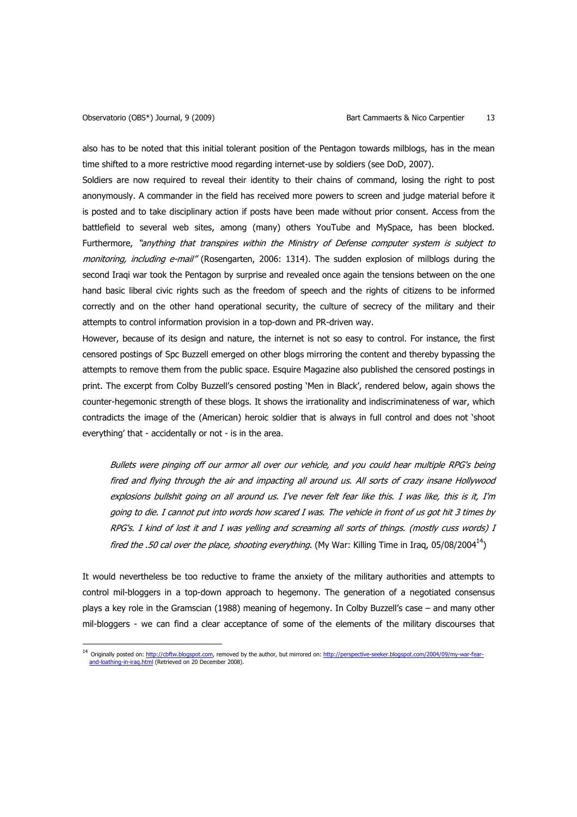$\overline{a}$ 

also has to be noted that this initial tolerant position of the Pentagon towards milblogs, has in the mean time shifted to a more restrictive mood regarding internet-use by soldiers (see DoD, 2007).

Soldiers are now required to reveal their identity to their chains of command, losing the right to post anonymously. A commander in the field has received more powers to screen and judge material before it is posted and to take disciplinary action if posts have been made without prior consent. Access from the battlefield to several web sites, among (many) others YouTube and MySpace, has been blocked. Furthermore, "anything that transpires within the Ministry of Defense computer system is subject to monitoring, including e-mail" (Rosengarten, 2006: 1314). The sudden explosion of milblogs during the second Iraqi war took the Pentagon by surprise and revealed once again the tensions between on the one hand basic liberal civic rights such as the freedom of speech and the rights of citizens to be informed correctly and on the other hand operational security, the culture of secrecy of the military and their attempts to control information provision in a top-down and PR-driven way.

However, because of its design and nature, the internet is not so easy to control. For instance, the first censored postings of Spc Buzzell emerged on other blogs mirroring the content and thereby bypassing the attempts to remove them from the public space. Esquire Magazine also published the censored postings in print. The excerpt from Colby Buzzell's censored posting 'Men in Black', rendered below, again shows the counter-hegemonic strength of these blogs. It shows the irrationality and indiscriminateness of war, which contradicts the image of the (American) heroic soldier that is always in full control and does not 'shoot everything' that - accidentally or not - is in the area.

Bullets were pinging off our armor all over our vehicle, and you could hear multiple RPG's being fired and flying through the air and impacting all around us. All sorts of crazy insane Hollywood explosions bullshit going on all around us. I've never felt fear like this. I was like, this is it, I'm going to die. I cannot put into words how scared I was. The vehicle in front of us got hit 3 times by RPG's. I kind of lost it and I was yelling and screaming all sorts of things. (mostly cuss words) I fired the .50 cal over the place, shooting everything. (My War: Killing Time in Iraq, 05/08/2004<sup>14</sup>)

It would nevertheless be too reductive to frame the anxiety of the military authorities and attempts to control mil-bloggers in a top-down approach to hegemony. The generation of a negotiated consensus plays a key role in the Gramscian (1988) meaning of hegemony. In Colby Buzzell's case – and many other mil-bloggers - we can find a clear acceptance of some of the elements of the military discourses that

<sup>&</sup>lt;sup>14</sup> Originally posted on: http://cbftw.blogspot.com, removed by the author, but mirrored on: http://perspective-seeker.blogspot.com/2004/09/my-war-fear**loathing-in-iraq.html (Retrieved on 20 December 2008).**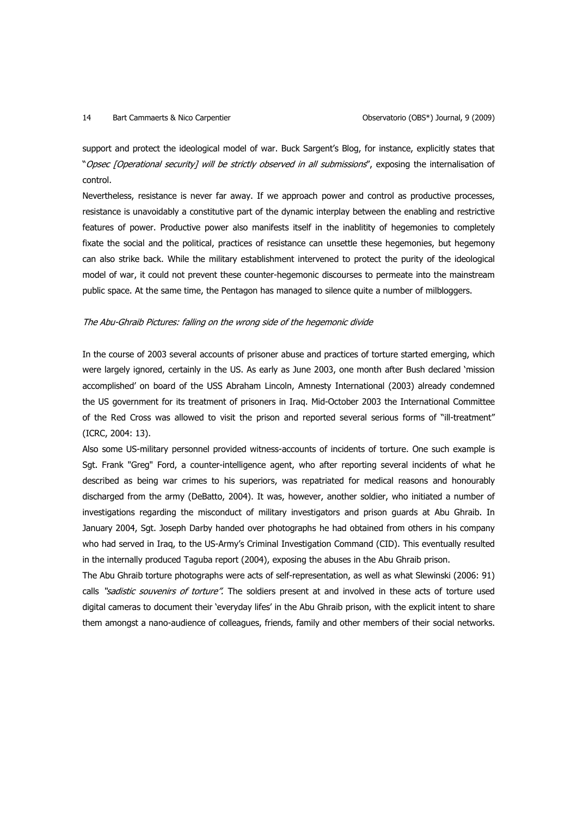### 14 Bart Cammaerts & Nico Carpentier **Cammaerts & Nico Carpentier** Cammaerts observatorio (OBS\*) Journal, 9 (2009)

support and protect the ideological model of war. Buck Sargent's Blog, for instance, explicitly states that "Opsec [Operational security] will be strictly observed in all submissions", exposing the internalisation of control.

Nevertheless, resistance is never far away. If we approach power and control as productive processes, resistance is unavoidably a constitutive part of the dynamic interplay between the enabling and restrictive features of power. Productive power also manifests itself in the inablitity of hegemonies to completely fixate the social and the political, practices of resistance can unsettle these hegemonies, but hegemony can also strike back. While the military establishment intervened to protect the purity of the ideological model of war, it could not prevent these counter-hegemonic discourses to permeate into the mainstream public space. At the same time, the Pentagon has managed to silence quite a number of milbloggers.

### The Abu-Ghraib Pictures: falling on the wrong side of the hegemonic divide

In the course of 2003 several accounts of prisoner abuse and practices of torture started emerging, which were largely ignored, certainly in the US. As early as June 2003, one month after Bush declared 'mission accomplished' on board of the USS Abraham Lincoln, Amnesty International (2003) already condemned the US government for its treatment of prisoners in Iraq. Mid-October 2003 the International Committee of the Red Cross was allowed to visit the prison and reported several serious forms of "ill-treatment" (ICRC, 2004: 13).

Also some US-military personnel provided witness-accounts of incidents of torture. One such example is Sgt. Frank "Greg" Ford, a counter-intelligence agent, who after reporting several incidents of what he described as being war crimes to his superiors, was repatriated for medical reasons and honourably discharged from the army (DeBatto, 2004). It was, however, another soldier, who initiated a number of investigations regarding the misconduct of military investigators and prison guards at Abu Ghraib. In January 2004, Sgt. Joseph Darby handed over photographs he had obtained from others in his company who had served in Iraq, to the US-Army's Criminal Investigation Command (CID). This eventually resulted in the internally produced Taguba report (2004), exposing the abuses in the Abu Ghraib prison.

The Abu Ghraib torture photographs were acts of self-representation, as well as what Slewinski (2006: 91) calls "sadistic souvenirs of torture". The soldiers present at and involved in these acts of torture used digital cameras to document their 'everyday lifes' in the Abu Ghraib prison, with the explicit intent to share them amongst a nano-audience of colleagues, friends, family and other members of their social networks.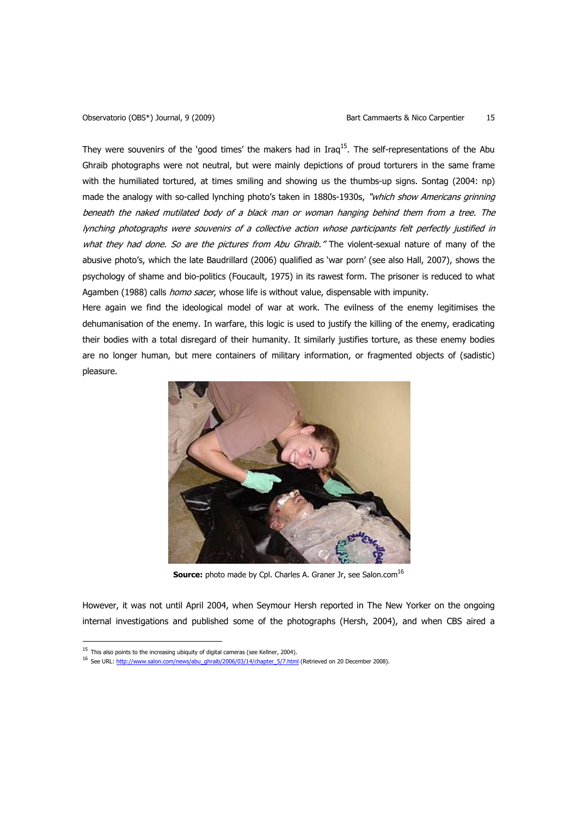They were souvenirs of the 'good times' the makers had in Iraq $^{15}$ . The self-representations of the Abu Ghraib photographs were not neutral, but were mainly depictions of proud torturers in the same frame with the humiliated tortured, at times smiling and showing us the thumbs-up signs. Sontag (2004: np) made the analogy with so-called lynching photo's taken in 1880s-1930s, "which show Americans grinning beneath the naked mutilated body of a black man or woman hanging behind them from a tree. The lynching photographs were souvenirs of a collective action whose participants felt perfectly justified in what they had done. So are the pictures from Abu Ghraib." The violent-sexual nature of many of the abusive photo's, which the late Baudrillard (2006) qualified as 'war porn' (see also Hall, 2007), shows the psychology of shame and bio-politics (Foucault, 1975) in its rawest form. The prisoner is reduced to what Agamben (1988) calls *homo sacer*, whose life is without value, dispensable with impunity.

Here again we find the ideological model of war at work. The evilness of the enemy legitimises the dehumanisation of the enemy. In warfare, this logic is used to justify the killing of the enemy, eradicating their bodies with a total disregard of their humanity. It similarly justifies torture, as these enemy bodies are no longer human, but mere containers of military information, or fragmented objects of (sadistic) pleasure.



**Source:** photo made by Cpl. Charles A. Graner Jr, see Salon.com<sup>16</sup>

However, it was not until April 2004, when Seymour Hersh reported in The New Yorker on the ongoing internal investigations and published some of the photographs (Hersh, 2004), and when CBS aired a

 $15$  This also points to the increasing ubiquity of digital cameras (see Kellner, 2004).

<sup>&</sup>lt;sup>16</sup> See URL: http://www.salon.com/news/abu\_ghraib/2006/03/14/chapter\_5/7.html (Retrieved on 20 December 2008).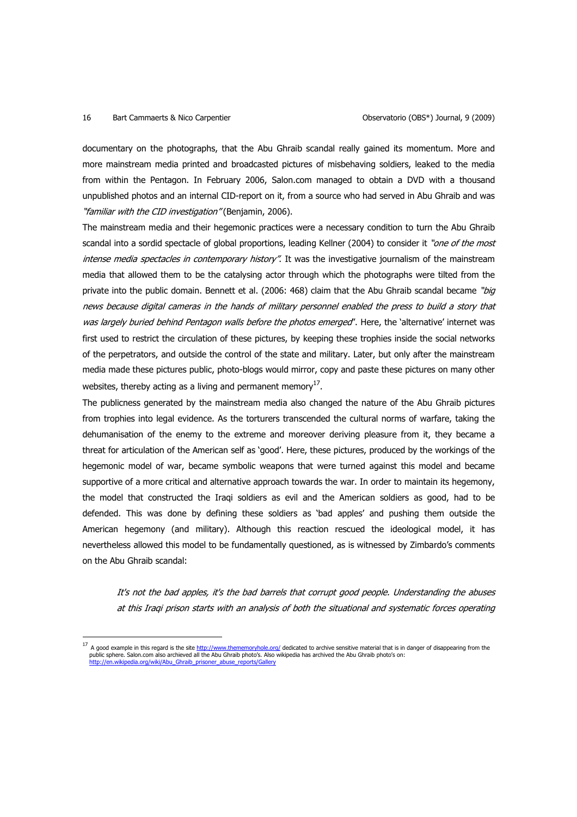### 16 Bart Cammaerts & Nico Carpentier Observatorio (OBS\*) Journal, 9 (2009)

l

documentary on the photographs, that the Abu Ghraib scandal really gained its momentum. More and more mainstream media printed and broadcasted pictures of misbehaving soldiers, leaked to the media from within the Pentagon. In February 2006, Salon.com managed to obtain a DVD with a thousand unpublished photos and an internal CID-report on it, from a source who had served in Abu Ghraib and was "familiar with the CID investigation" (Benjamin, 2006).

The mainstream media and their hegemonic practices were a necessary condition to turn the Abu Ghraib scandal into a sordid spectacle of global proportions, leading Kellner (2004) to consider it "one of the most intense media spectacles in contemporary history". It was the investigative journalism of the mainstream media that allowed them to be the catalysing actor through which the photographs were tilted from the private into the public domain. Bennett et al. (2006: 468) claim that the Abu Ghraib scandal became "big news because digital cameras in the hands of military personnel enabled the press to build a story that was largely buried behind Pentagon walls before the photos emerged". Here, the 'alternative' internet was first used to restrict the circulation of these pictures, by keeping these trophies inside the social networks of the perpetrators, and outside the control of the state and military. Later, but only after the mainstream media made these pictures public, photo-blogs would mirror, copy and paste these pictures on many other websites, thereby acting as a living and permanent memory $^{17}$ .

The publicness generated by the mainstream media also changed the nature of the Abu Ghraib pictures from trophies into legal evidence. As the torturers transcended the cultural norms of warfare, taking the dehumanisation of the enemy to the extreme and moreover deriving pleasure from it, they became a threat for articulation of the American self as 'good'. Here, these pictures, produced by the workings of the hegemonic model of war, became symbolic weapons that were turned against this model and became supportive of a more critical and alternative approach towards the war. In order to maintain its hegemony, the model that constructed the Iraqi soldiers as evil and the American soldiers as good, had to be defended. This was done by defining these soldiers as 'bad apples' and pushing them outside the American hegemony (and military). Although this reaction rescued the ideological model, it has nevertheless allowed this model to be fundamentally questioned, as is witnessed by Zimbardo's comments on the Abu Ghraib scandal:

It's not the bad apples, it's the bad barrels that corrupt good people. Understanding the abuses at this Iraqi prison starts with an analysis of both the situational and systematic forces operating

<sup>&</sup>lt;sup>17</sup> A good example in this regard is the site http://www.thememoryhole.org/ dedicated to archive sensitive material that is in danger of disappearing from the public sphere. Salon.com also archieved all the Abu Ghraib photo's. Also wikipedia has archived the Abu Ghraib photo's on: ia.org/wiki/Abu\_Ghraib\_prisoner\_abuse\_re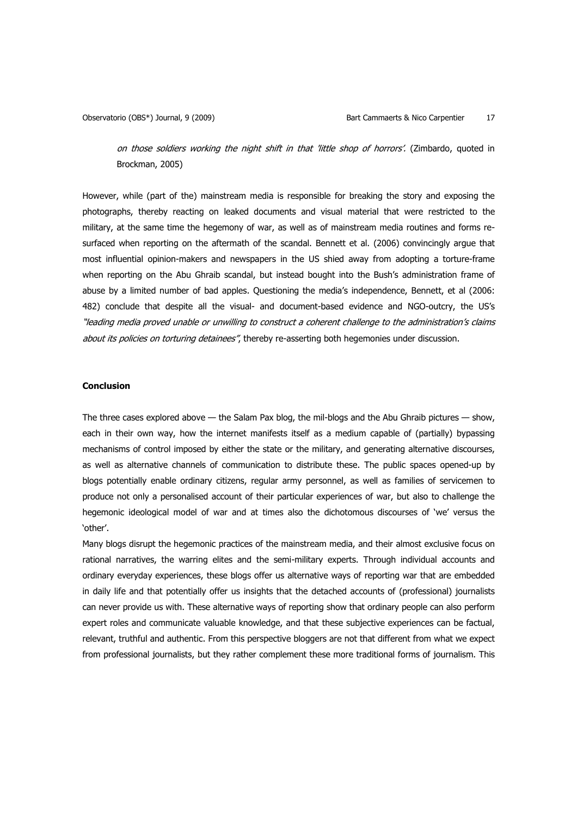on those soldiers working the night shift in that 'little shop of horrors'. (Zimbardo, quoted in Brockman, 2005)

However, while (part of the) mainstream media is responsible for breaking the story and exposing the photographs, thereby reacting on leaked documents and visual material that were restricted to the military, at the same time the hegemony of war, as well as of mainstream media routines and forms resurfaced when reporting on the aftermath of the scandal. Bennett et al. (2006) convincingly argue that most influential opinion-makers and newspapers in the US shied away from adopting a torture-frame when reporting on the Abu Ghraib scandal, but instead bought into the Bush's administration frame of abuse by a limited number of bad apples. Questioning the media's independence, Bennett, et al (2006: 482) conclude that despite all the visual- and document-based evidence and NGO-outcry, the US's "leading media proved unable or unwilling to construct a coherent challenge to the administration's claims about its policies on torturing detainees", thereby re-asserting both hegemonies under discussion.

### **Conclusion**

The three cases explored above — the Salam Pax blog, the mil-blogs and the Abu Ghraib pictures — show, each in their own way, how the internet manifests itself as a medium capable of (partially) bypassing mechanisms of control imposed by either the state or the military, and generating alternative discourses, as well as alternative channels of communication to distribute these. The public spaces opened-up by blogs potentially enable ordinary citizens, regular army personnel, as well as families of servicemen to produce not only a personalised account of their particular experiences of war, but also to challenge the hegemonic ideological model of war and at times also the dichotomous discourses of 'we' versus the 'other'.

Many blogs disrupt the hegemonic practices of the mainstream media, and their almost exclusive focus on rational narratives, the warring elites and the semi-military experts. Through individual accounts and ordinary everyday experiences, these blogs offer us alternative ways of reporting war that are embedded in daily life and that potentially offer us insights that the detached accounts of (professional) journalists can never provide us with. These alternative ways of reporting show that ordinary people can also perform expert roles and communicate valuable knowledge, and that these subjective experiences can be factual, relevant, truthful and authentic. From this perspective bloggers are not that different from what we expect from professional journalists, but they rather complement these more traditional forms of journalism. This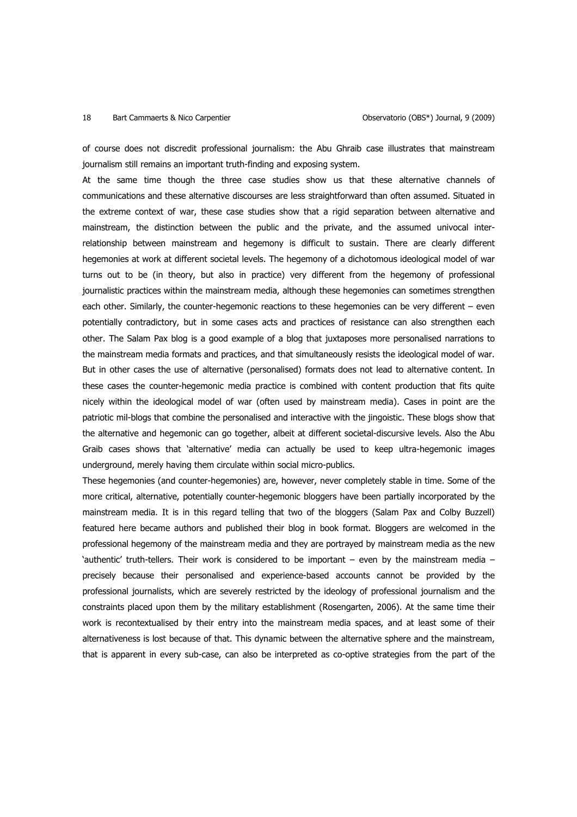# 18 Bart Cammaerts & Nico Carpentier **Cannonic Constant Constant Constant Constant Constant Constant Constant Const**

of course does not discredit professional journalism: the Abu Ghraib case illustrates that mainstream journalism still remains an important truth-finding and exposing system.

At the same time though the three case studies show us that these alternative channels of communications and these alternative discourses are less straightforward than often assumed. Situated in the extreme context of war, these case studies show that a rigid separation between alternative and mainstream, the distinction between the public and the private, and the assumed univocal interrelationship between mainstream and hegemony is difficult to sustain. There are clearly different hegemonies at work at different societal levels. The hegemony of a dichotomous ideological model of war turns out to be (in theory, but also in practice) very different from the hegemony of professional journalistic practices within the mainstream media, although these hegemonies can sometimes strengthen each other. Similarly, the counter-hegemonic reactions to these hegemonies can be very different – even potentially contradictory, but in some cases acts and practices of resistance can also strengthen each other. The Salam Pax blog is a good example of a blog that juxtaposes more personalised narrations to the mainstream media formats and practices, and that simultaneously resists the ideological model of war. But in other cases the use of alternative (personalised) formats does not lead to alternative content. In these cases the counter-hegemonic media practice is combined with content production that fits quite nicely within the ideological model of war (often used by mainstream media). Cases in point are the patriotic mil-blogs that combine the personalised and interactive with the jingoistic. These blogs show that the alternative and hegemonic can go together, albeit at different societal-discursive levels. Also the Abu Graib cases shows that 'alternative' media can actually be used to keep ultra-hegemonic images underground, merely having them circulate within social micro-publics.

These hegemonies (and counter-hegemonies) are, however, never completely stable in time. Some of the more critical, alternative, potentially counter-hegemonic bloggers have been partially incorporated by the mainstream media. It is in this regard telling that two of the bloggers (Salam Pax and Colby Buzzell) featured here became authors and published their blog in book format. Bloggers are welcomed in the professional hegemony of the mainstream media and they are portrayed by mainstream media as the new 'authentic' truth-tellers. Their work is considered to be important – even by the mainstream media – precisely because their personalised and experience-based accounts cannot be provided by the professional journalists, which are severely restricted by the ideology of professional journalism and the constraints placed upon them by the military establishment (Rosengarten, 2006). At the same time their work is recontextualised by their entry into the mainstream media spaces, and at least some of their alternativeness is lost because of that. This dynamic between the alternative sphere and the mainstream, that is apparent in every sub-case, can also be interpreted as co-optive strategies from the part of the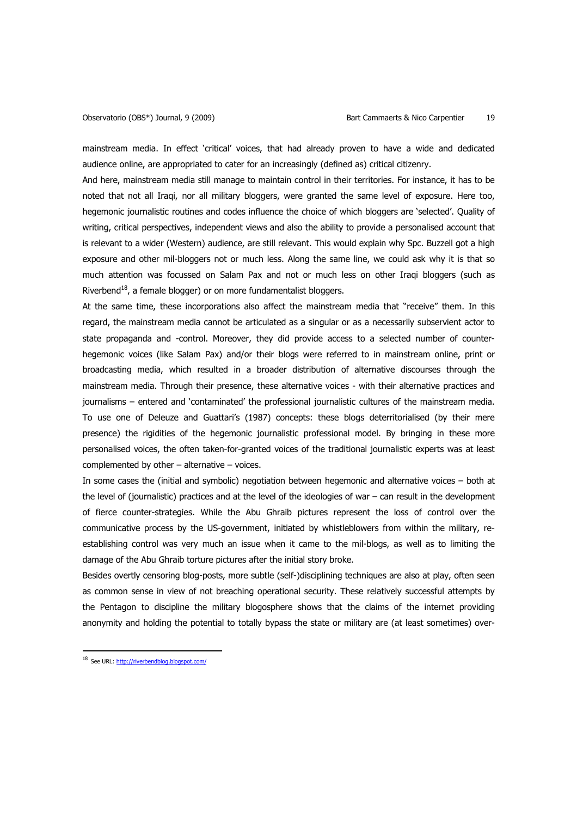mainstream media. In effect 'critical' voices, that had already proven to have a wide and dedicated audience online, are appropriated to cater for an increasingly (defined as) critical citizenry.

And here, mainstream media still manage to maintain control in their territories. For instance, it has to be noted that not all Iraqi, nor all military bloggers, were granted the same level of exposure. Here too, hegemonic journalistic routines and codes influence the choice of which bloggers are 'selected'. Quality of writing, critical perspectives, independent views and also the ability to provide a personalised account that is relevant to a wider (Western) audience, are still relevant. This would explain why Spc. Buzzell got a high exposure and other mil-bloggers not or much less. Along the same line, we could ask why it is that so much attention was focussed on Salam Pax and not or much less on other Iraqi bloggers (such as Riverbend<sup>18</sup>, a female blogger) or on more fundamentalist bloggers.

At the same time, these incorporations also affect the mainstream media that "receive" them. In this regard, the mainstream media cannot be articulated as a singular or as a necessarily subservient actor to state propaganda and -control. Moreover, they did provide access to a selected number of counterhegemonic voices (like Salam Pax) and/or their blogs were referred to in mainstream online, print or broadcasting media, which resulted in a broader distribution of alternative discourses through the mainstream media. Through their presence, these alternative voices - with their alternative practices and journalisms – entered and 'contaminated' the professional journalistic cultures of the mainstream media. To use one of Deleuze and Guattari's (1987) concepts: these blogs deterritorialised (by their mere presence) the rigidities of the hegemonic journalistic professional model. By bringing in these more personalised voices, the often taken-for-granted voices of the traditional journalistic experts was at least complemented by other – alternative – voices.

In some cases the (initial and symbolic) negotiation between hegemonic and alternative voices – both at the level of (journalistic) practices and at the level of the ideologies of war – can result in the development of fierce counter-strategies. While the Abu Ghraib pictures represent the loss of control over the communicative process by the US-government, initiated by whistleblowers from within the military, reestablishing control was very much an issue when it came to the mil-blogs, as well as to limiting the damage of the Abu Ghraib torture pictures after the initial story broke.

Besides overtly censoring blog-posts, more subtle (self-)disciplining techniques are also at play, often seen as common sense in view of not breaching operational security. These relatively successful attempts by the Pentagon to discipline the military blogosphere shows that the claims of the internet providing anonymity and holding the potential to totally bypass the state or military are (at least sometimes) over-

<sup>18</sup> See URL: http://riverbendblog.blogspot.com/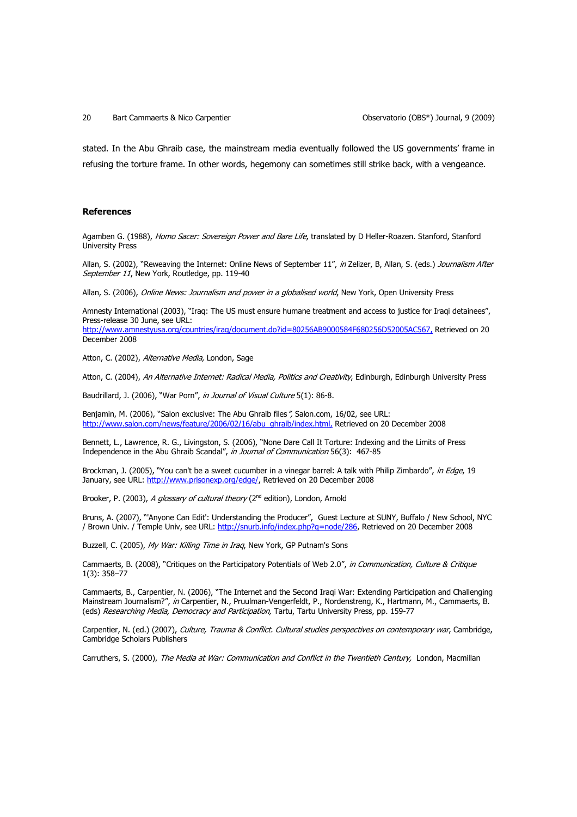stated. In the Abu Ghraib case, the mainstream media eventually followed the US governments' frame in refusing the torture frame. In other words, hegemony can sometimes still strike back, with a vengeance.

### **References**

Agamben G. (1988), Homo Sacer: Sovereign Power and Bare Life, translated by D Heller-Roazen. Stanford, Stanford University Press

Allan, S. (2002), "Reweaving the Internet: Online News of September 11", in Zelizer, B. Allan, S. (eds.) *Journalism After* September 11, New York, Routledge, pp. 119-40

Allan, S. (2006), Online News: Journalism and power in a globalised world, New York, Open University Press

Amnesty International (2003), "Iraq: The US must ensure humane treatment and access to justice for Iraqi detainees", Press-release 30 June, see URL: http://www.amnestyusa.org/countries/iraq/document.do?id=80256AB9000584F680256D52005AC567, Retrieved on 20 December 2008

Atton, C. (2002), Alternative Media, London, Sage

Atton, C. (2004), An Alternative Internet: Radical Media, Politics and Creativity, Edinburgh, Edinburgh University Press

Baudrillard, J. (2006), "War Porn", in Journal of Visual Culture 5(1): 86-8.

Benjamin, M. (2006), "Salon exclusive: The Abu Ghraib files", Salon.com, 16/02, see URL: http://www.salon.com/news/feature/2006/02/16/abu\_ghraib/index.html, Retrieved on 20 December 2008

Bennett, L., Lawrence, R. G., Livingston, S. (2006), "None Dare Call It Torture: Indexing and the Limits of Press Independence in the Abu Ghraib Scandal", in Journal of Communication 56(3): 467-85

Brockman, J. (2005), "You can't be a sweet cucumber in a vinegar barrel: A talk with Philip Zimbardo", in Edge, 19 January, see URL: http://www.prisonexp.org/edge/, Retrieved on 20 December 2008

Brooker, P. (2003), A glossary of cultural theory ( $2<sup>nd</sup>$  edition), London, Arnold

Bruns, A. (2007), "'Anyone Can Edit': Understanding the Producer", Guest Lecture at SUNY, Buffalo / New School, NYC / Brown Univ. / Temple Univ, see URL: http://snurb.info/index.php?q=node/286, Retrieved on 20 December 2008

Buzzell, C. (2005), My War: Killing Time in Iraq, New York, GP Putnam's Sons

Cammaerts, B. (2008), "Critiques on the Participatory Potentials of Web 2.0", in Communication, Culture & Critique 1(3): 358–77

Cammaerts, B., Carpentier, N. (2006), "The Internet and the Second Iraqi War: Extending Participation and Challenging Mainstream Journalism?", in Carpentier, N., Pruulman-Vengerfeldt, P., Nordenstreng, K., Hartmann, M., Cammaerts, B. (eds) Researching Media, Democracy and Participation, Tartu, Tartu University Press, pp. 159-77

Carpentier, N. (ed.) (2007), Culture, Trauma & Conflict. Cultural studies perspectives on contemporary war, Cambridge, Cambridge Scholars Publishers

Carruthers, S. (2000), The Media at War: Communication and Conflict in the Twentieth Century, London, Macmillan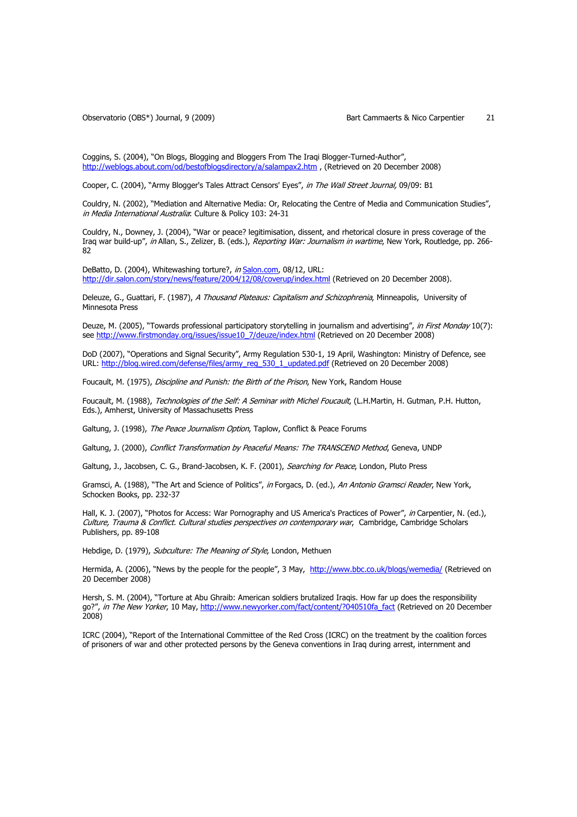Coggins, S. (2004), "On Blogs, Blogging and Bloggers From The Iraqi Blogger-Turned-Author", http://weblogs.about.com/od/bestofblogsdirectory/a/salampax2.htm , (Retrieved on 20 December 2008)

Cooper, C. (2004), "Army Blogger's Tales Attract Censors' Eyes", in The Wall Street Journal, 09/09: B1

Couldry, N. (2002), "Mediation and Alternative Media: Or, Relocating the Centre of Media and Communication Studies", in Media International Australia: Culture & Policy 103: 24-31

Couldry, N., Downey, J. (2004), "War or peace? legitimisation, dissent, and rhetorical closure in press coverage of the Iraq war build-up", in Allan, S., Zelizer, B. (eds.), Reporting War: Journalism in wartime, New York, Routledge, pp. 266-82

DeBatto, D. (2004), Whitewashing torture?, in Salon.com, 08/12, URL: http://dir.salon.com/story/news/feature/2004/12/08/coverup/index.html (Retrieved on 20 December 2008).

Deleuze, G., Guattari, F. (1987), A Thousand Plateaus: Capitalism and Schizophrenia, Minneapolis, University of Minnesota Press

Deuze, M. (2005), "Towards professional participatory storytelling in journalism and advertising", in First Monday 10(7): see http://www.firstmonday.org/issues/issue10\_7/deuze/index.html (Retrieved on 20 December 2008)

DoD (2007), "Operations and Signal Security", Army Regulation 530-1, 19 April, Washington: Ministry of Defence, see URL: http://blog.wired.com/defense/files/army\_reg\_530\_1\_updated.pdf (Retrieved on 20 December 2008)

Foucault, M. (1975), Discipline and Punish: the Birth of the Prison, New York, Random House

Foucault, M. (1988), Technologies of the Self: A Seminar with Michel Foucault, (L.H.Martin, H. Gutman, P.H. Hutton, Eds.), Amherst, University of Massachusetts Press

Galtung, J. (1998), The Peace Journalism Option, Taplow, Conflict & Peace Forums

Galtung, J. (2000), Conflict Transformation by Peaceful Means: The TRANSCEND Method, Geneva, UNDP

Galtung, J., Jacobsen, C. G., Brand-Jacobsen, K. F. (2001), Searching for Peace, London, Pluto Press

Gramsci, A. (1988), "The Art and Science of Politics", in Forgacs, D. (ed.), An Antonio Gramsci Reader, New York, Schocken Books, pp. 232-37

Hall, K. J. (2007), "Photos for Access: War Pornography and US America's Practices of Power", in Carpentier, N. (ed.), Culture, Trauma & Conflict. Cultural studies perspectives on contemporary war, Cambridge, Cambridge Scholars Publishers, pp. 89-108

Hebdige, D. (1979), Subculture: The Meaning of Style, London, Methuen

Hermida, A. (2006), "News by the people for the people", 3 May, http://www.bbc.co.uk/blogs/wemedia/ (Retrieved on 20 December 2008)

Hersh, S. M. (2004), "Torture at Abu Ghraib: American soldiers brutalized Iraqis. How far up does the responsibility go?", in The New Yorker, 10 May, http://www.newyorker.com/fact/content/?040510fa\_fact (Retrieved on 20 December 2008)

ICRC (2004), "Report of the International Committee of the Red Cross (ICRC) on the treatment by the coalition forces of prisoners of war and other protected persons by the Geneva conventions in Iraq during arrest, internment and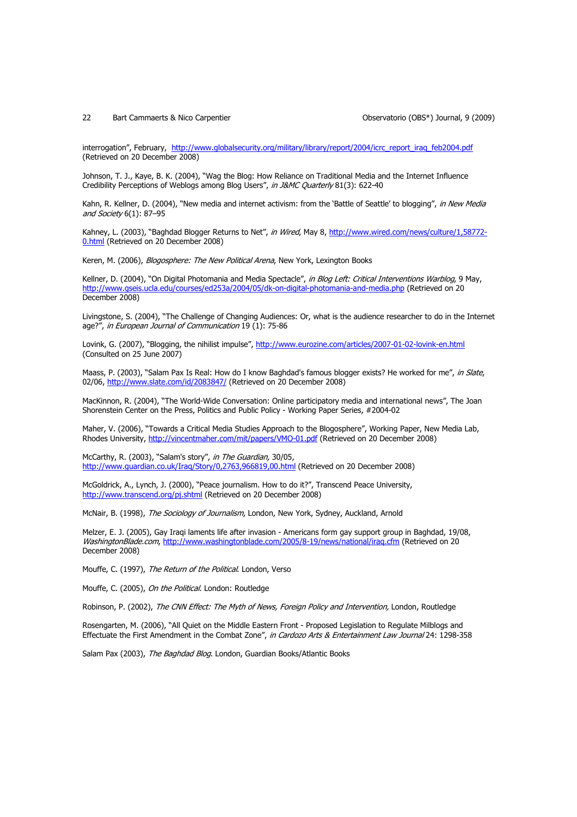#### 22 Bart Cammaerts & Nico Carpentier Observatorio (OBS\*) Journal, 9 (2009)

interrogation", February, http://www.globalsecurity.org/military/library/report/2004/icrc\_report\_iraq\_feb2004.pdf (Retrieved on 20 December 2008)

Johnson, T. J., Kaye, B. K. (2004), "Wag the Blog: How Reliance on Traditional Media and the Internet Influence Credibility Perceptions of Weblogs among Blog Users", in J&MC Quarterly 81(3): 622-40

Kahn, R. Kellner, D. (2004), "New media and internet activism: from the 'Battle of Seattle' to blogging", in New Media and Society 6(1): 87-95

Kahney, L. (2003), "Baghdad Blogger Returns to Net", in Wired, May 8, http://www.wired.com/news/culture/1,58772-0.html (Retrieved on 20 December 2008)

Keren, M. (2006), Blogosphere: The New Political Arena, New York, Lexington Books

Kellner, D. (2004), "On Digital Photomania and Media Spectacle", in Blog Left: Critical Interventions Warblog, 9 May, http://www.gseis.ucla.edu/courses/ed253a/2004/05/dk-on-digital-photomania-and-media.php (Retrieved on 20 December 2008)

Livingstone, S. (2004), "The Challenge of Changing Audiences: Or, what is the audience researcher to do in the Internet age?", in European Journal of Communication 19 (1): 75-86

Lovink, G. (2007), "Blogging, the nihilist impulse", http://www.eurozine.com/articles/2007-01-02-lovink-en.html (Consulted on 25 June 2007)

Maass, P. (2003), "Salam Pax Is Real: How do I know Baghdad's famous blogger exists? He worked for me", in Slate, 02/06, http://www.slate.com/id/2083847/ (Retrieved on 20 December 2008)

MacKinnon, R. (2004), "The World-Wide Conversation: Online participatory media and international news", The Joan Shorenstein Center on the Press, Politics and Public Policy - Working Paper Series, #2004-02

Maher, V. (2006), "Towards a Critical Media Studies Approach to the Blogosphere", Working Paper, New Media Lab, Rhodes University, http://vincentmaher.com/mit/papers/VMO-01.pdf (Retrieved on 20 December 2008)

McCarthy, R. (2003), "Salam's story", in The Guardian, 30/05, http://www.guardian.co.uk/Iraq/Story/0,2763,966819,00.html (Retrieved on 20 December 2008)

McGoldrick, A., Lynch, J. (2000), "Peace journalism. How to do it?", Transcend Peace University, http://www.transcend.org/pj.shtml (Retrieved on 20 December 2008)

McNair, B. (1998), The Sociology of Journalism, London, New York, Sydney, Auckland, Arnold

Melzer, E. J. (2005), Gay Iraqi laments life after invasion - Americans form gay support group in Baghdad, 19/08, WashingtonBlade.com, http://www.washingtonblade.com/2005/8-19/news/national/iraq.cfm (Retrieved on 20 December 2008)

Mouffe, C. (1997), The Return of the Political. London, Verso

Mouffe, C. (2005), On the Political. London: Routledge

Robinson, P. (2002), The CNN Effect: The Myth of News, Foreign Policy and Intervention, London, Routledge

Rosengarten, M. (2006), "All Quiet on the Middle Eastern Front - Proposed Legislation to Regulate Milblogs and Effectuate the First Amendment in the Combat Zone", in Cardozo Arts & Entertainment Law Journal 24: 1298-358

Salam Pax (2003), The Baghdad Blog. London, Guardian Books/Atlantic Books